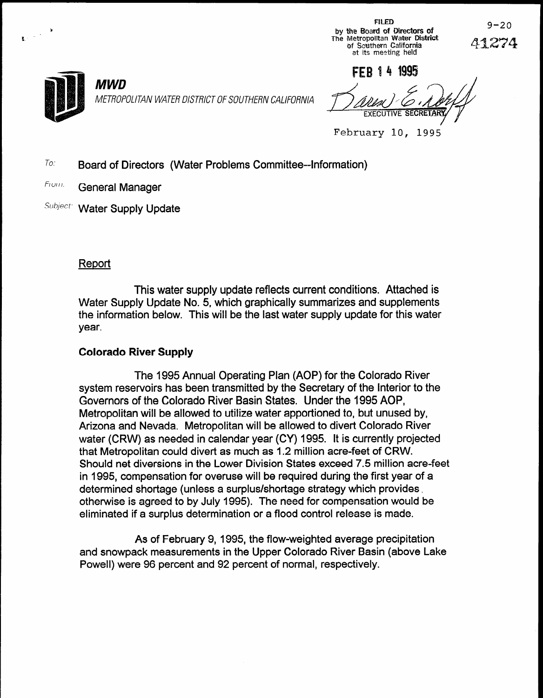$FILED$ FILED FILED 9-20<br>by the Board of Directors of<br>The Metropolitan Water District Mater of Southern Galifornia at its meeting held



1. --

MWD METROPOLITAN WATER DISTRICT OF SOUTHERN CALIFORNIA

FFR 14 1995

February 10, 1995

**To:** Board of Directors (Water Problems Committee--Information)

From: General Manager

Subject: Water Supply Update

## Report

This water supply update reflects current conditions. Attached is Water Supply Update No. 5, which graphically summarizes and supplements the information below. This will be the last water supply update for this water year.

b /

### Colorado River Supply

The 1995 Annual Operating Plan (AOP) for the Colorado River system reservoirs has been transmitted by the Secretary of the Interior to the Governors of the Colorado River Basin States. Under the 1995 AOP, Metropolitan will be allowed to utilize water apportioned to, but unused by, Arizona and Nevada. Metropolitan will be allowed to divert Colorado River water (CRW) as needed in calendar year (CY) 1995. It is currently projected that Metropolitan could divert as much as 1.2 million acre-feet of CRW. Should net diversions in the Lower Division States exceed 7.5 million acre-feet in 1995, compensation for overuse will be required during the first year of a determined shortage (unless a surplus/shortage strategy which provides  $\sim$ otherwise is agreed to by July 1995). The need for compensation would be otherwise is agreed to by July 1995). The need for compensation would be eliminated if a surplus determination or a flood control release is made.

 $\mathbf{A}$  of  $\mathbf{B}$  of  $\mathbf{A}$  of  $\mathbf{B}$  average precipitation average precipitation average precipitation average precipitation average precipitation average precipitation average precipitation average precipitation and snowpack measurements in the Upper Colorado River Basin (above Lake and snowpack measurements in the Upper Colorado River Basin (above Lake Powell) were 96 percent and 92 percent of normal, respectively.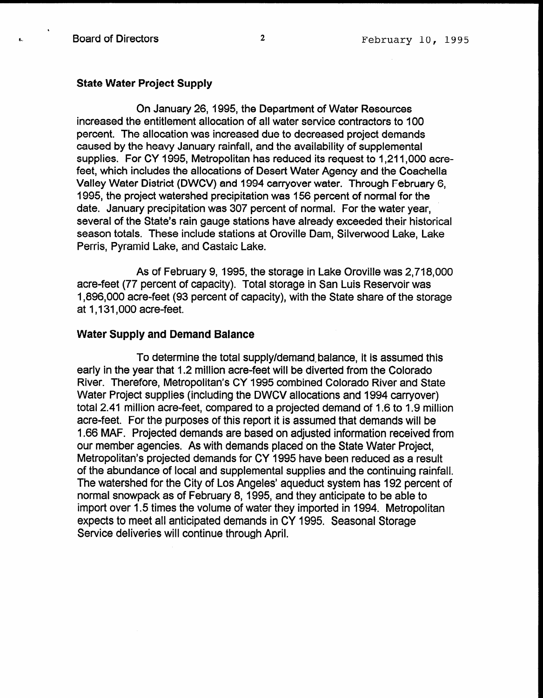1

#### State Water Project Supply

On January 26, 1995, the Department of Water Resources increased the entitlement allocation of all water service contractors to 100 percent. The allocation was increased due to decreased project demands caused by the heavy January rainfall, and the availability of supplemental supplies. For CY 1995, Metropolitan has reduced its request to 1,211,000 acrefeet, which includes the allocations of Desert Water Agency and the Coachella Valley Water District (DWCV) and 1994 carryover water. Through February 6, 1995, the project watershed precipitation was 156 percent of normal for the date. January precipitation was 307 percent of normal. For the water year, several of the State's rain gauge stations have already exceeded their historical season totals. These include stations at Oroville Dam, Silverwood Lake, Lake Perris, Pyramid Lake, and Castaic Lake.

As of February 9, 1995, the storage in Lake Oroville was 2,718,OOO acre-feet (77 percent of capacity). Total storage in San Luis Reservoir was 1,896,OOO acre-feet (93 percent of capacity), with the State share of the storage at 1,131,000 acre-feet.

#### Water Supply and Demand Balance

To determine the total supply/demand balance, it is assumed this early in the year that 1.2 million acre-feet will be diverted from the Colorado River. Therefore, Metropolitan's CY 1995 combined Colorado River and State Water Project supplies (including the DWCV allocations and 1994 carryover) total 2.41 million acre-feet, compared to a projected demand of 1.6 to 1.9 million acre-feet. For the purposes of this report it is assumed that demands will be I .66 MAF. Projected demands are based on adjusted information received from our member agencies. As with demands placed on the State Water Project, Metropolitan's projected demands for CY 1995 have been reduced as a result of the abundance of local and supplemental supplies and the continuing rainfall. or the abundance or local and supplemental supplies and the continuing ramial.<br>The watershed for the Oil with a Angeles' and the 192 percent of 200 percent of 20 The watershed for the City of Los Angeles' aqueduct system has 192 percent of normal snowpack as of February 8, 1995, and they anticipate to be able to import over 1.5 times the volume of water they imported in 1994. Metropolitan expects to meet all anticipated demands in CY 1995. Seasonal Storage Service deliveries will continue through April.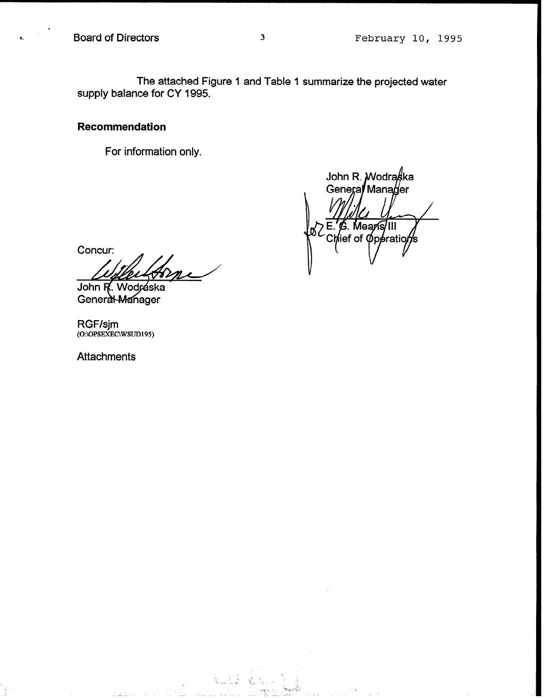The attached Figure 1 and Table 1 summarize the projected water supply balance for CY 1995.

#### Recommendation

For information only.

John R. *W*odraska Genera Manager E. G. Means/III<br>Chief of Operations

Stanik (d.

Concur: John R. Wodráska

General Manager

RGF/sjm<br>(O:\OPSEXEC\WSUD195)

**Attachments**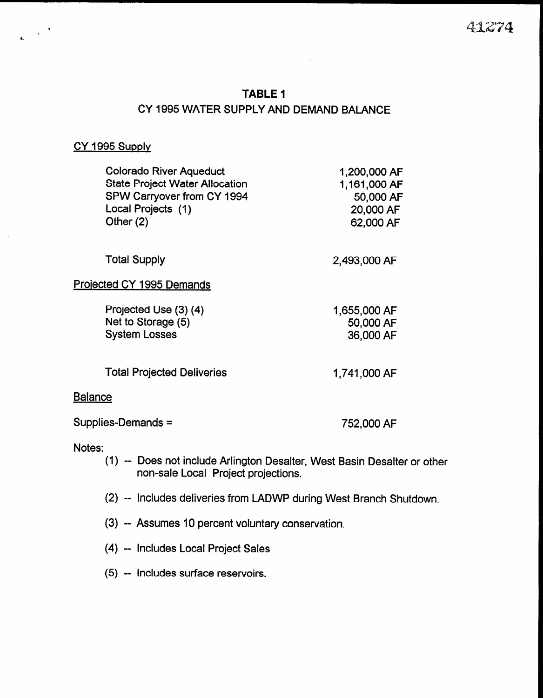## TABLE 1 CY 1995 WATER SUPPLY AND DEMAND BALANCE

#### CY 1995 Supply

e.

| <b>Colorado River Aqueduct</b><br><b>State Project Water Allocation</b><br>SPW Carryover from CY 1994<br>Local Projects (1)<br>Other $(2)$ | 1,200,000 AF<br>1,161,000 AF<br>50,000 AF<br>20,000 AF<br>62,000 AF |
|--------------------------------------------------------------------------------------------------------------------------------------------|---------------------------------------------------------------------|
| <b>Total Supply</b>                                                                                                                        | 2,493,000 AF                                                        |
| <b>Projected CY 1995 Demands</b>                                                                                                           |                                                                     |
| Projected Use (3) (4)<br>Net to Storage (5)<br><b>System Losses</b>                                                                        | 1,655,000 AF<br>50,000 AF<br>36,000 AF                              |
| <b>Total Projected Deliveries</b>                                                                                                          | 1,741,000 AF                                                        |
| <u>Balance</u>                                                                                                                             |                                                                     |
| Supplies-Demands =                                                                                                                         | 752,000 AF                                                          |

#### Notes:

- (1) -- Does not include Arlington Desalter, West Basin Desalter or other non-sale Local Project projections.
- (2) -- Includes deliveries from LADWP during West Branch Shutdown.
- (3) -- Assumes IO percent voluntary conservation.
- (4) Includes Local Project Sales
- (5) -- Includes surface reservoirs.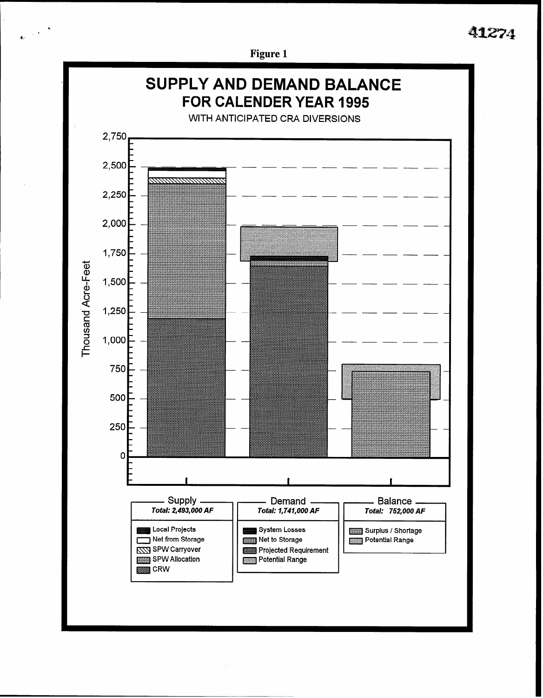# 41274



Figure 1